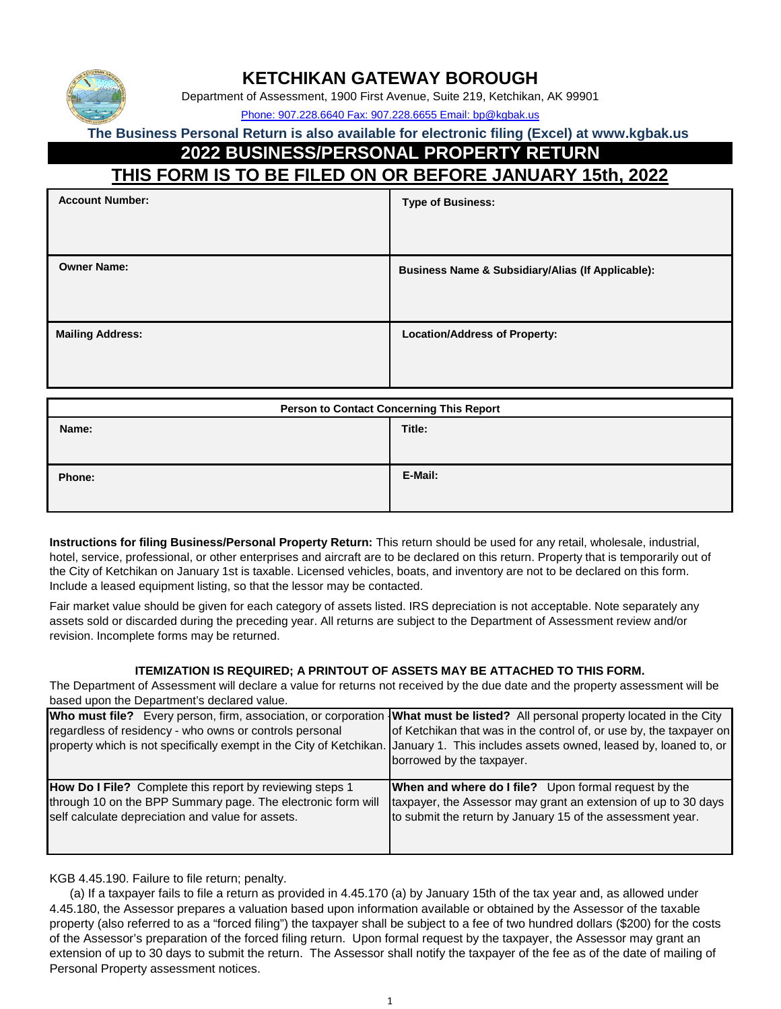

### **KETCHIKAN GATEWAY BOROUGH**

Department of Assessment, 1900 First Avenue, Suite 219, Ketchikan, AK 99901

Phone: 907.228.6640 Fax: 907.228.6655 Email: bp@kgbak.us

**The Business Personal Return is also available for electronic filing (Excel) at www.kgbak.us** 

### **2022 BUSINESS/PERSONAL PROPERTY RETURN**

### **THIS FORM IS TO BE FILED ON OR BEFORE JANUARY 15th, 2022**

| <b>Account Number:</b>  | <b>Type of Business:</b>                                     |
|-------------------------|--------------------------------------------------------------|
| <b>Owner Name:</b>      | <b>Business Name &amp; Subsidiary/Alias (If Applicable):</b> |
| <b>Mailing Address:</b> | <b>Location/Address of Property:</b>                         |

| <b>Person to Contact Concerning This Report</b> |         |  |  |
|-------------------------------------------------|---------|--|--|
| Name:                                           | Title:  |  |  |
| Phone:                                          | E-Mail: |  |  |

**Instructions for filing Business/Personal Property Return:** This return should be used for any retail, wholesale, industrial, hotel, service, professional, or other enterprises and aircraft are to be declared on this return. Property that is temporarily out of the City of Ketchikan on January 1st is taxable. Licensed vehicles, boats, and inventory are not to be declared on this form. Include a leased equipment listing, so that the lessor may be contacted.

Fair market value should be given for each category of assets listed. IRS depreciation is not acceptable. Note separately any assets sold or discarded during the preceding year. All returns are subject to the Department of Assessment review and/or revision. Incomplete forms may be returned.

#### **ITEMIZATION IS REQUIRED; A PRINTOUT OF ASSETS MAY BE ATTACHED TO THIS FORM.**

The Department of Assessment will declare a value for returns not received by the due date and the property assessment will be based upon the Department's declared value.

| Who must file? Every person, firm, association, or corporation What must be listed? All personal property located in the City<br>regardless of residency - who owns or controls personal<br>property which is not specifically exempt in the City of Ketchikan. January 1. This includes assets owned, leased by, loaned to, or | of Ketchikan that was in the control of, or use by, the taxpayer on<br>borrowed by the taxpayer. |
|---------------------------------------------------------------------------------------------------------------------------------------------------------------------------------------------------------------------------------------------------------------------------------------------------------------------------------|--------------------------------------------------------------------------------------------------|
| How Do I File? Complete this report by reviewing steps 1                                                                                                                                                                                                                                                                        | <b>When and where do I file?</b> Upon formal request by the                                      |
| through 10 on the BPP Summary page. The electronic form will                                                                                                                                                                                                                                                                    | taxpayer, the Assessor may grant an extension of up to 30 days                                   |
| self calculate depreciation and value for assets.                                                                                                                                                                                                                                                                               | to submit the return by January 15 of the assessment year.                                       |

KGB 4.45.190. Failure to file return; penalty.

 (a) If a taxpayer fails to file a return as provided in 4.45.170 (a) by January 15th of the tax year and, as allowed under 4.45.180, the Assessor prepares a valuation based upon information available or obtained by the Assessor of the taxable property (also referred to as a "forced filing") the taxpayer shall be subject to a fee of two hundred dollars (\$200) for the costs of the Assessor's preparation of the forced filing return. Upon formal request by the taxpayer, the Assessor may grant an extension of up to 30 days to submit the return. The Assessor shall notify the taxpayer of the fee as of the date of mailing of Personal Property assessment notices.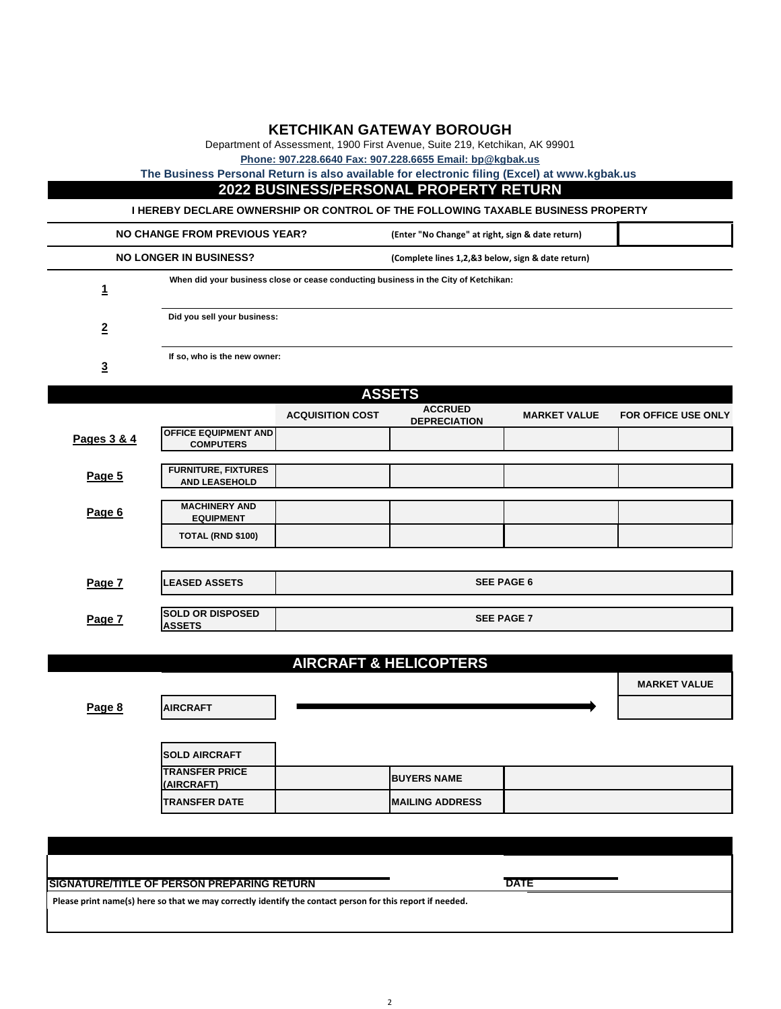#### **KETCHIKAN GATEWAY BOROUGH**

Department of Assessment, 1900 First Avenue, Suite 219, Ketchikan, AK 99901

**Phone: 907.228.6640 Fax: 907.228.6655 Email: bp@kgbak.us**

**The Business Personal Return is also available for electronic filing (Excel) at www.kgbak.us** 

#### **2022 BUSINESS/PERSONAL PROPERTY RETURN**

**I HEREBY DECLARE OWNERSHIP OR CONTROL OF THE FOLLOWING TAXABLE BUSINESS PROPERTY**

|                               | NO CHANGE FROM PREVIOUS YEAR?                                                       | (Enter "No Change" at right, sign & date return)  |  |
|-------------------------------|-------------------------------------------------------------------------------------|---------------------------------------------------|--|
| <b>NO LONGER IN BUSINESS?</b> |                                                                                     | (Complete lines 1,2,&3 below, sign & date return) |  |
|                               | When did your business close or cease conducting business in the City of Ketchikan: |                                                   |  |
| <u>2</u>                      | Did you sell your business:                                                         |                                                   |  |
|                               | If so, who is the new owner:                                                        |                                                   |  |

**3**

| <b>ASSETS</b> |                                                    |                         |                                       |                     |                            |
|---------------|----------------------------------------------------|-------------------------|---------------------------------------|---------------------|----------------------------|
|               |                                                    | <b>ACQUISITION COST</b> | <b>ACCRUED</b><br><b>DEPRECIATION</b> | <b>MARKET VALUE</b> | <b>FOR OFFICE USE ONLY</b> |
| Pages 3 & 4   | <b>OFFICE EQUIPMENT AND</b><br><b>COMPUTERS</b>    |                         |                                       |                     |                            |
|               |                                                    |                         |                                       |                     |                            |
| Page 5        | <b>FURNITURE, FIXTURES</b><br><b>AND LEASEHOLD</b> |                         |                                       |                     |                            |
|               |                                                    |                         |                                       |                     |                            |
| Page 6        | <b>MACHINERY AND</b><br><b>EQUIPMENT</b>           |                         |                                       |                     |                            |
|               | TOTAL (RND \$100)                                  |                         |                                       |                     |                            |
|               |                                                    |                         |                                       |                     |                            |
| Page 7        | <b>LEASED ASSETS</b>                               |                         |                                       | <b>SEE PAGE 6</b>   |                            |

| Page 7 | <b>SOLD OR DISPOSED</b><br><b>IASSETS</b> | <b>SEE PAGE 7</b> |
|--------|-------------------------------------------|-------------------|

#### **AIRCRAFT & HELICOPTERS**

**MARKET VALUE**

| Page 8 | <b>AIRCRAFT</b>                     |                         |  |
|--------|-------------------------------------|-------------------------|--|
|        | <b>SOLD AIRCRAFT</b>                |                         |  |
|        | <b>TRANSFER PRICE</b><br>(AIRCRAFT) | <b>BUYERS NAME</b>      |  |
|        | <b>TRANSFER DATE</b>                | <b>IMAILING ADDRESS</b> |  |

#### **SIGNATURE/TITLE OF PERSON PREPARING RETURN**

**Please print name(s) here so that we may correctly identify the contact person for this report if needed.**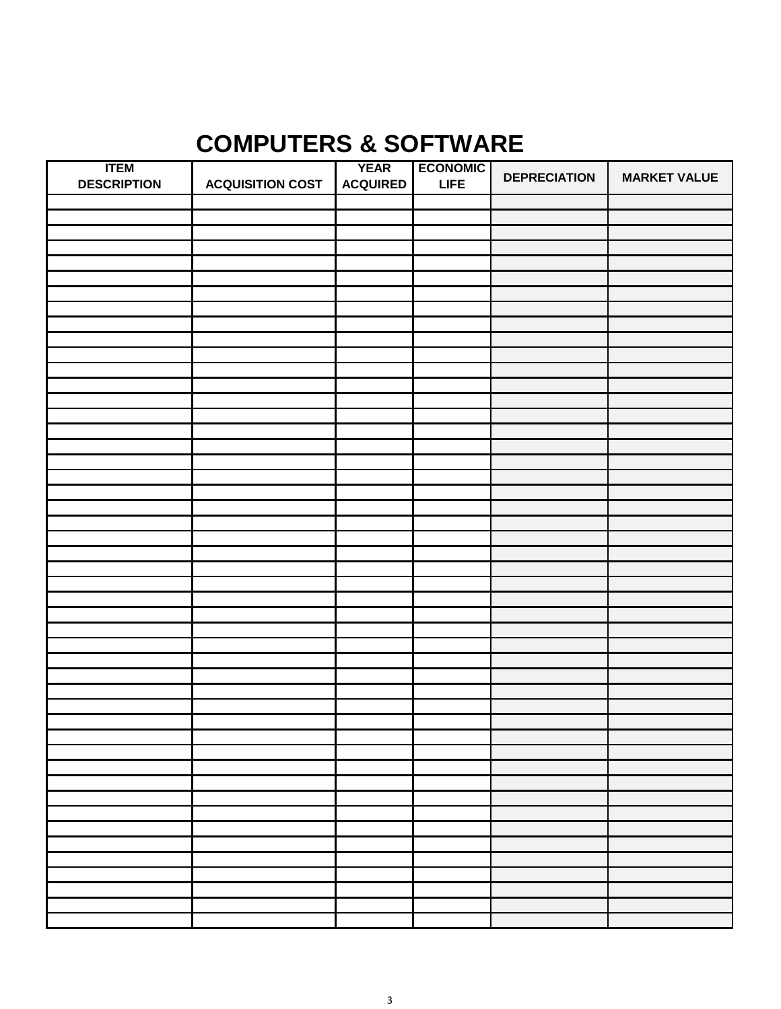### **COMPUTERS & SOFTWARE**

| <b>ITEM</b>        |                         | <b>YEAR</b>     | <b>ECONOMIC</b> | <b>DEPRECIATION</b> | <b>MARKET VALUE</b> |
|--------------------|-------------------------|-----------------|-----------------|---------------------|---------------------|
| <b>DESCRIPTION</b> | <b>ACQUISITION COST</b> | <b>ACQUIRED</b> | <b>LIFE</b>     |                     |                     |
|                    |                         |                 |                 |                     |                     |
|                    |                         |                 |                 |                     |                     |
|                    |                         |                 |                 |                     |                     |
|                    |                         |                 |                 |                     |                     |
|                    |                         |                 |                 |                     |                     |
|                    |                         |                 |                 |                     |                     |
|                    |                         |                 |                 |                     |                     |
|                    |                         |                 |                 |                     |                     |
|                    |                         |                 |                 |                     |                     |
|                    |                         |                 |                 |                     |                     |
|                    |                         |                 |                 |                     |                     |
|                    |                         |                 |                 |                     |                     |
|                    |                         |                 |                 |                     |                     |
|                    |                         |                 |                 |                     |                     |
|                    |                         |                 |                 |                     |                     |
|                    |                         |                 |                 |                     |                     |
|                    |                         |                 |                 |                     |                     |
|                    |                         |                 |                 |                     |                     |
|                    |                         |                 |                 |                     |                     |
|                    |                         |                 |                 |                     |                     |
|                    |                         |                 |                 |                     |                     |
|                    |                         |                 |                 |                     |                     |
|                    |                         |                 |                 |                     |                     |
|                    |                         |                 |                 |                     |                     |
|                    |                         |                 |                 |                     |                     |
|                    |                         |                 |                 |                     |                     |
|                    |                         |                 |                 |                     |                     |
|                    |                         |                 |                 |                     |                     |
|                    |                         |                 |                 |                     |                     |
|                    |                         |                 |                 |                     |                     |
|                    |                         |                 |                 |                     |                     |
|                    |                         |                 |                 |                     |                     |
|                    |                         |                 |                 |                     |                     |
|                    |                         |                 |                 |                     |                     |
|                    |                         |                 |                 |                     |                     |
|                    |                         |                 |                 |                     |                     |
|                    |                         |                 |                 |                     |                     |
|                    |                         |                 |                 |                     |                     |
|                    |                         |                 |                 |                     |                     |
|                    |                         |                 |                 |                     |                     |
|                    |                         |                 |                 |                     |                     |
|                    |                         |                 |                 |                     |                     |
|                    |                         |                 |                 |                     |                     |
|                    |                         |                 |                 |                     |                     |
|                    |                         |                 |                 |                     |                     |
|                    |                         |                 |                 |                     |                     |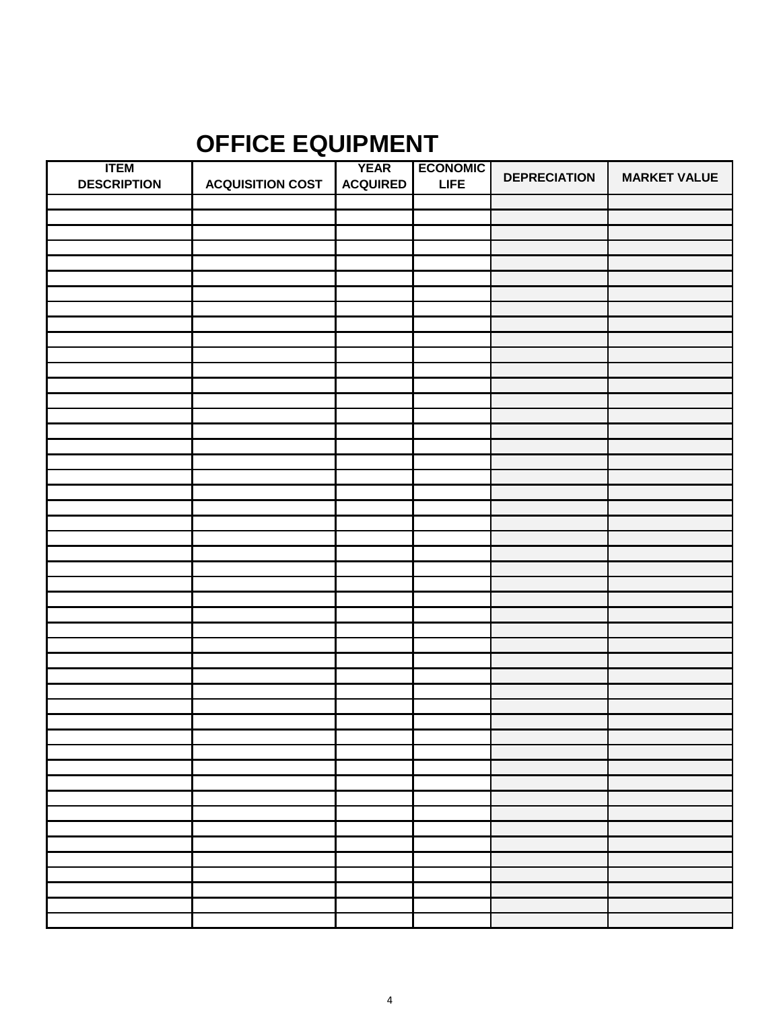## **OFFICE EQUIPMENT**

| <b>ITEM</b>        |                         | <b>YEAR</b>     | <b>ECONOMIC</b> | <b>DEPRECIATION</b> | <b>MARKET VALUE</b> |
|--------------------|-------------------------|-----------------|-----------------|---------------------|---------------------|
| <b>DESCRIPTION</b> | <b>ACQUISITION COST</b> | <b>ACQUIRED</b> | <b>LIFE</b>     |                     |                     |
|                    |                         |                 |                 |                     |                     |
|                    |                         |                 |                 |                     |                     |
|                    |                         |                 |                 |                     |                     |
|                    |                         |                 |                 |                     |                     |
|                    |                         |                 |                 |                     |                     |
|                    |                         |                 |                 |                     |                     |
|                    |                         |                 |                 |                     |                     |
|                    |                         |                 |                 |                     |                     |
|                    |                         |                 |                 |                     |                     |
|                    |                         |                 |                 |                     |                     |
|                    |                         |                 |                 |                     |                     |
|                    |                         |                 |                 |                     |                     |
|                    |                         |                 |                 |                     |                     |
|                    |                         |                 |                 |                     |                     |
|                    |                         |                 |                 |                     |                     |
|                    |                         |                 |                 |                     |                     |
|                    |                         |                 |                 |                     |                     |
|                    |                         |                 |                 |                     |                     |
|                    |                         |                 |                 |                     |                     |
|                    |                         |                 |                 |                     |                     |
|                    |                         |                 |                 |                     |                     |
|                    |                         |                 |                 |                     |                     |
|                    |                         |                 |                 |                     |                     |
|                    |                         |                 |                 |                     |                     |
|                    |                         |                 |                 |                     |                     |
|                    |                         |                 |                 |                     |                     |
|                    |                         |                 |                 |                     |                     |
|                    |                         |                 |                 |                     |                     |
|                    |                         |                 |                 |                     |                     |
|                    |                         |                 |                 |                     |                     |
|                    |                         |                 |                 |                     |                     |
|                    |                         |                 |                 |                     |                     |
|                    |                         |                 |                 |                     |                     |
|                    |                         |                 |                 |                     |                     |
|                    |                         |                 |                 |                     |                     |
|                    |                         |                 |                 |                     |                     |
|                    |                         |                 |                 |                     |                     |
|                    |                         |                 |                 |                     |                     |
|                    |                         |                 |                 |                     |                     |
|                    |                         |                 |                 |                     |                     |
|                    |                         |                 |                 |                     |                     |
|                    |                         |                 |                 |                     |                     |
|                    |                         |                 |                 |                     |                     |
|                    |                         |                 |                 |                     |                     |
|                    |                         |                 |                 |                     |                     |
|                    |                         |                 |                 |                     |                     |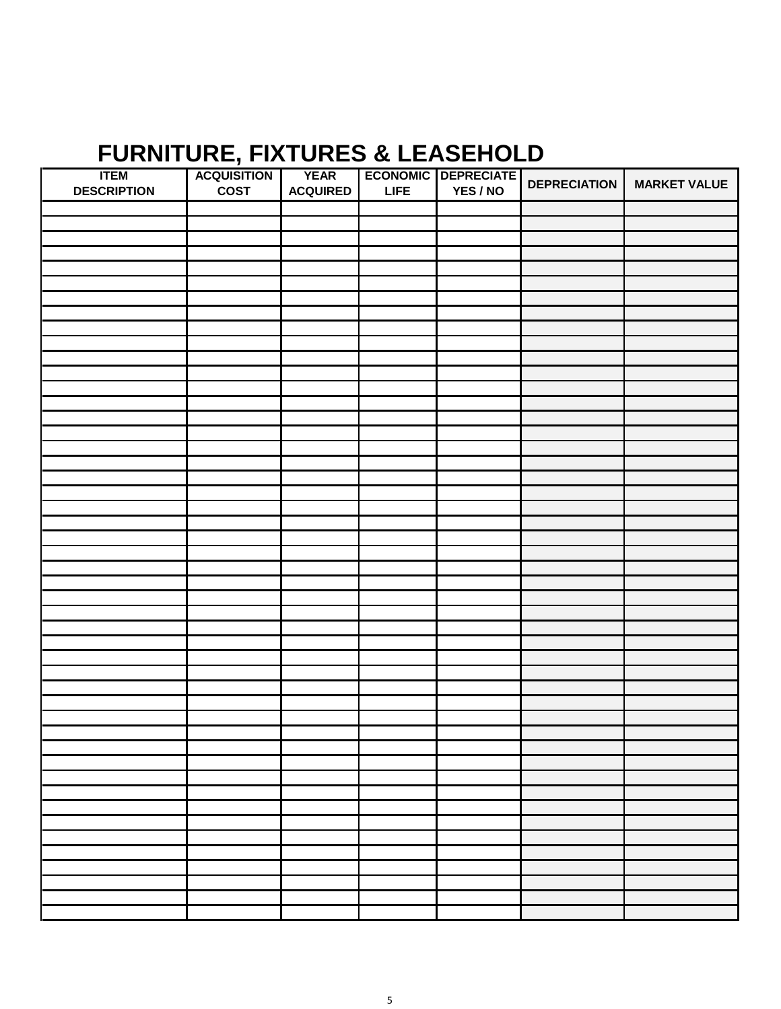## **FURNITURE, FIXTURES & LEASEHOLD**

| <b>ITEM</b>        | <b>ACQUISITION</b> | <b>YEAR</b>     |             | <b>ECONOMIC DEPRECIATE</b> |                     |                     |
|--------------------|--------------------|-----------------|-------------|----------------------------|---------------------|---------------------|
| <b>DESCRIPTION</b> | <b>COST</b>        | <b>ACQUIRED</b> | <b>LIFE</b> | YES / NO                   | <b>DEPRECIATION</b> | <b>MARKET VALUE</b> |
|                    |                    |                 |             |                            |                     |                     |
|                    |                    |                 |             |                            |                     |                     |
|                    |                    |                 |             |                            |                     |                     |
|                    |                    |                 |             |                            |                     |                     |
|                    |                    |                 |             |                            |                     |                     |
|                    |                    |                 |             |                            |                     |                     |
|                    |                    |                 |             |                            |                     |                     |
|                    |                    |                 |             |                            |                     |                     |
|                    |                    |                 |             |                            |                     |                     |
|                    |                    |                 |             |                            |                     |                     |
|                    |                    |                 |             |                            |                     |                     |
|                    |                    |                 |             |                            |                     |                     |
|                    |                    |                 |             |                            |                     |                     |
|                    |                    |                 |             |                            |                     |                     |
|                    |                    |                 |             |                            |                     |                     |
|                    |                    |                 |             |                            |                     |                     |
|                    |                    |                 |             |                            |                     |                     |
|                    |                    |                 |             |                            |                     |                     |
|                    |                    |                 |             |                            |                     |                     |
|                    |                    |                 |             |                            |                     |                     |
|                    |                    |                 |             |                            |                     |                     |
|                    |                    |                 |             |                            |                     |                     |
|                    |                    |                 |             |                            |                     |                     |
|                    |                    |                 |             |                            |                     |                     |
|                    |                    |                 |             |                            |                     |                     |
|                    |                    |                 |             |                            |                     |                     |
|                    |                    |                 |             |                            |                     |                     |
|                    |                    |                 |             |                            |                     |                     |
|                    |                    |                 |             |                            |                     |                     |
|                    |                    |                 |             |                            |                     |                     |
|                    |                    |                 |             |                            |                     |                     |
|                    |                    |                 |             |                            |                     |                     |
|                    |                    |                 |             |                            |                     |                     |
|                    |                    |                 |             |                            |                     |                     |
|                    |                    |                 |             |                            |                     |                     |
|                    |                    |                 |             |                            |                     |                     |
|                    |                    |                 |             |                            |                     |                     |
|                    |                    |                 |             |                            |                     |                     |
|                    |                    |                 |             |                            |                     |                     |
|                    |                    |                 |             |                            |                     |                     |
|                    |                    |                 |             |                            |                     |                     |
|                    |                    |                 |             |                            |                     |                     |
|                    |                    |                 |             |                            |                     |                     |
|                    |                    |                 |             |                            |                     |                     |
|                    |                    |                 |             |                            |                     |                     |
|                    |                    |                 |             |                            |                     |                     |
|                    |                    |                 |             |                            |                     |                     |
|                    |                    |                 |             |                            |                     |                     |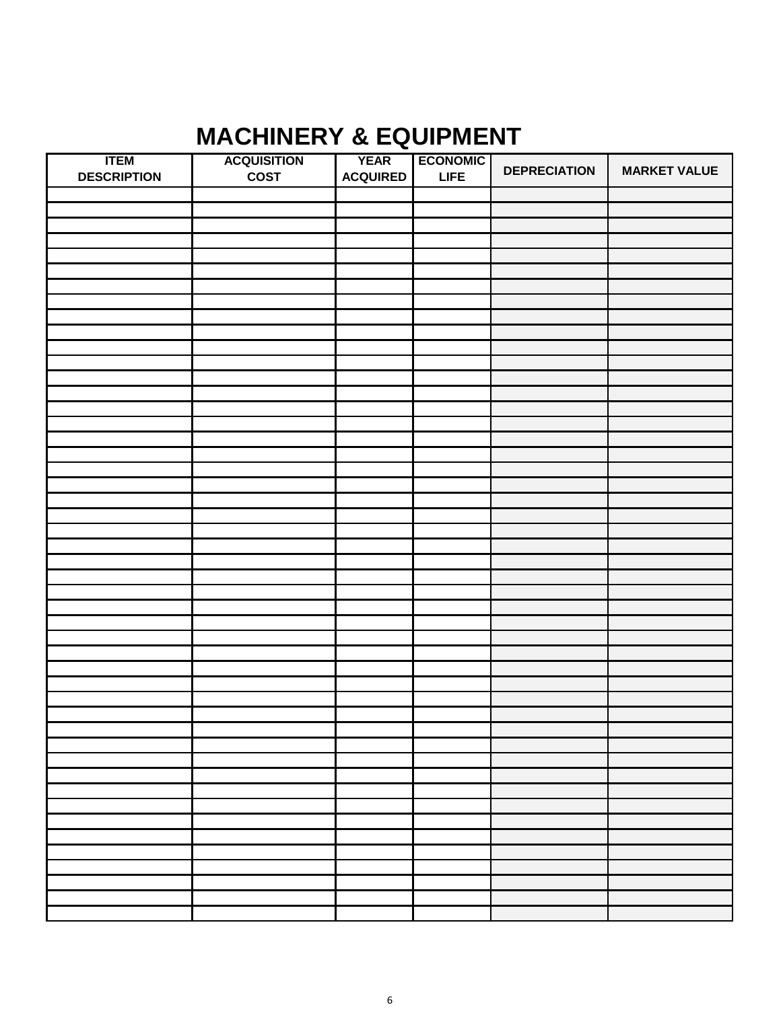## **MACHINERY & EQUIPMENT**

| <b>ITEM</b>        | <b>ACQUISITION</b> | <b>YEAR</b>     | <b>ECONOMIC</b> |                     |                     |
|--------------------|--------------------|-----------------|-----------------|---------------------|---------------------|
| <b>DESCRIPTION</b> | <b>COST</b>        | <b>ACQUIRED</b> | <b>LIFE</b>     | <b>DEPRECIATION</b> | <b>MARKET VALUE</b> |
|                    |                    |                 |                 |                     |                     |
|                    |                    |                 |                 |                     |                     |
|                    |                    |                 |                 |                     |                     |
|                    |                    |                 |                 |                     |                     |
|                    |                    |                 |                 |                     |                     |
|                    |                    |                 |                 |                     |                     |
|                    |                    |                 |                 |                     |                     |
|                    |                    |                 |                 |                     |                     |
|                    |                    |                 |                 |                     |                     |
|                    |                    |                 |                 |                     |                     |
|                    |                    |                 |                 |                     |                     |
|                    |                    |                 |                 |                     |                     |
|                    |                    |                 |                 |                     |                     |
|                    |                    |                 |                 |                     |                     |
|                    |                    |                 |                 |                     |                     |
|                    |                    |                 |                 |                     |                     |
|                    |                    |                 |                 |                     |                     |
|                    |                    |                 |                 |                     |                     |
|                    |                    |                 |                 |                     |                     |
|                    |                    |                 |                 |                     |                     |
|                    |                    |                 |                 |                     |                     |
|                    |                    |                 |                 |                     |                     |
|                    |                    |                 |                 |                     |                     |
|                    |                    |                 |                 |                     |                     |
|                    |                    |                 |                 |                     |                     |
|                    |                    |                 |                 |                     |                     |
|                    |                    |                 |                 |                     |                     |
|                    |                    |                 |                 |                     |                     |
|                    |                    |                 |                 |                     |                     |
|                    |                    |                 |                 |                     |                     |
|                    |                    |                 |                 |                     |                     |
|                    |                    |                 |                 |                     |                     |
|                    |                    |                 |                 |                     |                     |
|                    |                    |                 |                 |                     |                     |
|                    |                    |                 |                 |                     |                     |
|                    |                    |                 |                 |                     |                     |
|                    |                    |                 |                 |                     |                     |
|                    |                    |                 |                 |                     |                     |
|                    |                    |                 |                 |                     |                     |
|                    |                    |                 |                 |                     |                     |
|                    |                    |                 |                 |                     |                     |
|                    |                    |                 |                 |                     |                     |
|                    |                    |                 |                 |                     |                     |
|                    |                    |                 |                 |                     |                     |
|                    |                    |                 |                 |                     |                     |
|                    |                    |                 |                 |                     |                     |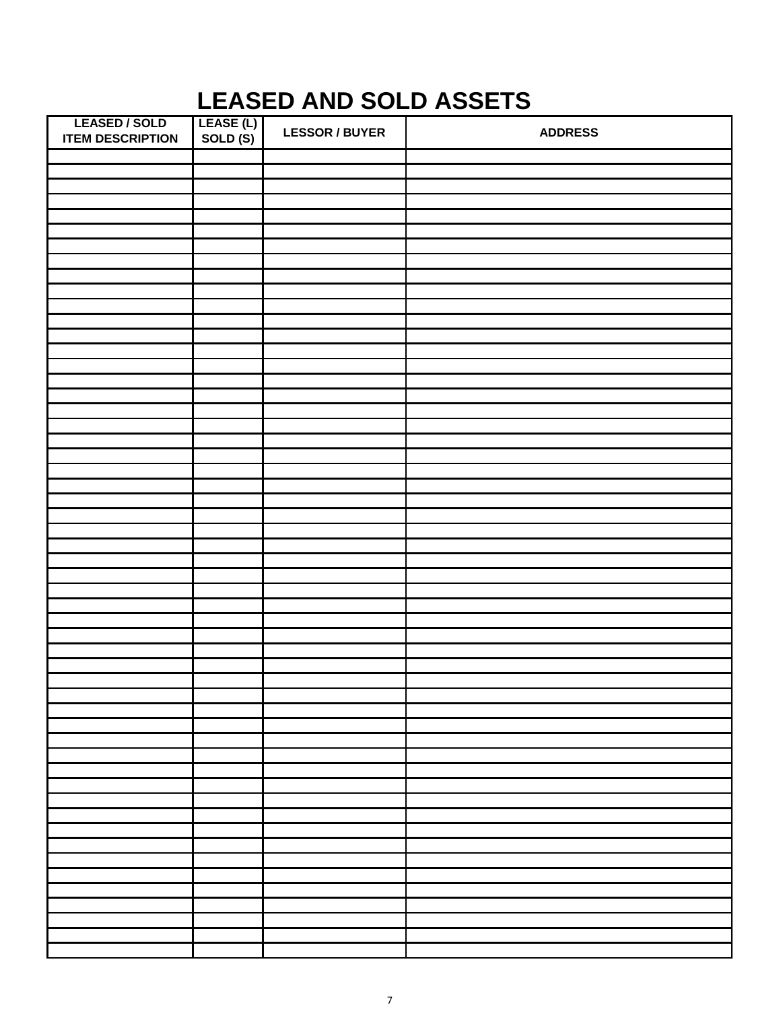## **LEASED AND SOLD ASSETS**

| <b>LEASED / SOLD</b><br><b>ITEM DESCRIPTION</b> | LEASE (L)<br>SOLD (S) | <b>LESSOR / BUYER</b> | <b>ADDRESS</b> |
|-------------------------------------------------|-----------------------|-----------------------|----------------|
|                                                 |                       |                       |                |
|                                                 |                       |                       |                |
|                                                 |                       |                       |                |
|                                                 |                       |                       |                |
|                                                 |                       |                       |                |
|                                                 |                       |                       |                |
|                                                 |                       |                       |                |
|                                                 |                       |                       |                |
|                                                 |                       |                       |                |
|                                                 |                       |                       |                |
|                                                 |                       |                       |                |
|                                                 |                       |                       |                |
|                                                 |                       |                       |                |
|                                                 |                       |                       |                |
|                                                 |                       |                       |                |
|                                                 |                       |                       |                |
|                                                 |                       |                       |                |
|                                                 |                       |                       |                |
|                                                 |                       |                       |                |
|                                                 |                       |                       |                |
|                                                 |                       |                       |                |
|                                                 |                       |                       |                |
|                                                 |                       |                       |                |
|                                                 |                       |                       |                |
|                                                 |                       |                       |                |
|                                                 |                       |                       |                |
|                                                 |                       |                       |                |
|                                                 |                       |                       |                |
|                                                 |                       |                       |                |
|                                                 |                       |                       |                |
|                                                 |                       |                       |                |
|                                                 |                       |                       |                |
|                                                 |                       |                       |                |
|                                                 |                       |                       |                |
|                                                 |                       |                       |                |
|                                                 |                       |                       |                |
|                                                 |                       |                       |                |
|                                                 |                       |                       |                |
|                                                 |                       |                       |                |
|                                                 |                       |                       |                |
|                                                 |                       |                       |                |
|                                                 |                       |                       |                |
|                                                 |                       |                       |                |
|                                                 |                       |                       |                |
|                                                 |                       |                       |                |
|                                                 |                       |                       |                |
|                                                 |                       |                       |                |
|                                                 |                       |                       |                |
|                                                 |                       |                       |                |
|                                                 |                       |                       |                |
|                                                 |                       |                       |                |
|                                                 |                       |                       |                |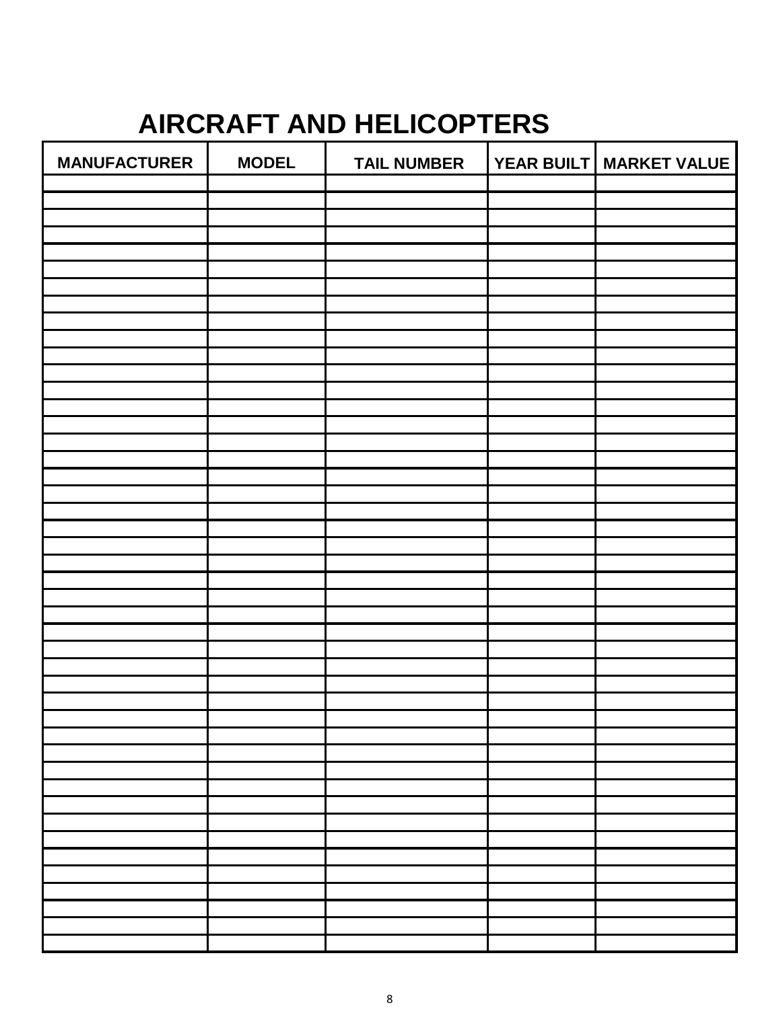# **AIRCRAFT AND HELICOPTERS**

| <b>MANUFACTURER</b> | <b>MODEL</b> | <b>TAIL NUMBER</b> | YEAR BUILT MARKET VALUE |
|---------------------|--------------|--------------------|-------------------------|
|                     |              |                    |                         |
|                     |              |                    |                         |
|                     |              |                    |                         |
|                     |              |                    |                         |
|                     |              |                    |                         |
|                     |              |                    |                         |
|                     |              |                    |                         |
|                     |              |                    |                         |
|                     |              |                    |                         |
|                     |              |                    |                         |
|                     |              |                    |                         |
|                     |              |                    |                         |
|                     |              |                    |                         |
|                     |              |                    |                         |
|                     |              |                    |                         |
|                     |              |                    |                         |
|                     |              |                    |                         |
|                     |              |                    |                         |
|                     |              |                    |                         |
|                     |              |                    |                         |
|                     |              |                    |                         |
|                     |              |                    |                         |
|                     |              |                    |                         |
|                     |              |                    |                         |
|                     |              |                    |                         |
|                     |              |                    |                         |
|                     |              |                    |                         |
|                     |              |                    |                         |
|                     |              |                    |                         |
|                     |              |                    |                         |
|                     |              |                    |                         |
|                     |              |                    |                         |
|                     |              |                    |                         |
|                     |              |                    |                         |
|                     |              |                    |                         |
|                     |              |                    |                         |
|                     |              |                    |                         |